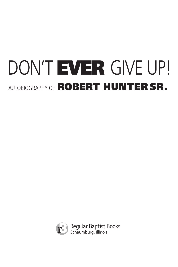# DON'T EVER GIVE UP! AUTOBIOGRAPHY OF **ROBERT HUNTER SR.**

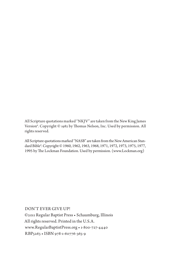All Scripture quotations marked "NKJV" are taken from the New King James Version®. Copyright © 1982 by Thomas Nelson, Inc. Used by permission. All rights reserved.

All Scripture quotations marked "NASB" are taken from the New American Standard Bible®. Copyright © 1960, 1962, 1963, 1968, 1971, 1972, 1973, 1975, 1977, 1995 by The Lockman Foundation. Used by permission. (www.Lockman.org)

Don't Ever Give Up! ©2011 Regular Baptist Press • Schaumburg, Illinois All rights reserved. Printed in the U.S.A. www.RegularBaptistPress.org • 1-800-727-4440 RBP5263 • ISBN 978-1-60776-365-9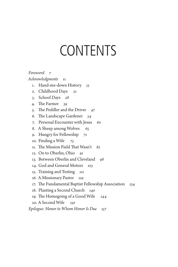### **CONTENTS**

*Foreword 7 Acknowledgments 11* 1. Hand-me-down History *13* 2. Childhood Days *21* 3. School Days *28* 4. The Farmer *39* 5. The Peddler and the Driver *47* 6. The Landscape Gardener *54* 7. Personal Encounter with Jesus *60* 8. A Sheep among Wolves *65* 9. Hungry for Fellowship *71* 10. Finding a Wife *75* 11. The Mission Field That Wasn't *82* 12. On to Oberlin, Ohio *91* 13. Between Oberlin and Cleveland *98* 14. God and General Motors *103* 15. Training and Testing *111* 16. A Missionary Pastor *119* 17. The Fundamental Baptist Fellowship Association *134* 18. Planting a Second Church *140* 19. The Homegoing of a Good Wife *144* 20. A Second Wife *150*

*Epilogue: Honor to Whom Honor Is Due 157*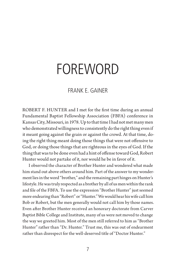### Foreword

#### Frank E. Gainer

ROBERT F. HUNTER and I met for the first time during an annual Fundamental Baptist Fellowship Association (FBFA) conference in Kansas City, Missouri, in 1978. Up to that time I had not met many men who demonstrated willingness to consistently do the right thing even if it meant going against the grain or against the crowd. At that time, doing the right thing meant doing those things that were not offensive to God, or doing those things that are righteous in the eyes of God. If the thing that was to be done even had a hint of offense toward God, Robert Hunter would not partake of it, nor would he be in favor of it.

I observed the character of Brother Hunter and wondered what made him stand out above others around him. Part of the answer to my wonderment lies in the word "brother," and the remaining part hinges on Hunter's lifestyle. He was truly respected as a brother by all of us men within the rank and file of the FBFA. To use the expression "Brother Hunter" just seemed more endearing than "Robert" or "Hunter." We would hear his wife call him Bob or Robert, but the men generally would not call him by those names. Even after Brother Hunter received an honorary doctorate from Carver Baptist Bible College and Institute, many of us were not moved to change the way we greeted him. Most of the men still referred to him as "Brother Hunter" rather than "Dr. Hunter." Trust me, this was out of endearment rather than disrespect for the well-deserved title of "Doctor Hunter."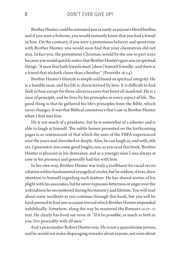Brother Hunter could be entreated just as easily as anyone's blood brother, and if you were a believer, you would instantly know that you had a friend in him. On the contrary, if you were a pretentious believer and spent time with Brother Hunter, you would soon find that your chemistries did not mix. In fact you, the pretentious Christian, would be the one to part ways because you would quickly notice that Brother Hunter's gaze was on spiritual things. "A man that hath friends must [show] himself friendly: and there is a friend that sticketh closer than a brother" (Proverbs 18:24).

Brother Hunter's lifestyle is simple and based on spiritual integrity. He is a humble man, and his life is characterized by love*.* It is difficult to find fault in him except for those idiosyncrasies that beset all mankind. He is a man of principle, and he lives by his principles in every aspect of life. The good thing is that he gathered his life's principles from the Bible, which never changes. It was that Biblical consistency that I saw in Brother Hunter when I first met him.

He is not much of a prankster, but he is somewhat of a jokester and is able to laugh at himself. The subtle humor presented on the forthcoming pages is so reminiscent of that which the men of the FBFA experienced over the years and cherished so deeply. Also, he can laugh at, and with, others. I guarantee you some good laughs, too, as you read this book. Brother Hunter is pleasant in his demeanor, and as a younger man I was always at ease in his presence and generally had fun with him.

In his own way, Brother Hunter was truly a trailblazer for racial reconciliation within fundamental evangelical circles, but he seldom, if ever, drew attention to himself regarding such matters. He has shared stories of his plight with his associates, but he never expresses bitterness or anger over the unkindness he encountered during his ministry and lifetime. You will read about some incidents as you continue through this book, but you will be hard-pressed to find one occasion toward which Brother Hunter responded unbiblically. Somehow, along the way he mastered the Romans 12:17–21 text. He clearly has lived out verse 18: "If it be possible, as much as lieth in you, live peaceably with all men."

And a peacemaker Robert Hunter was. He is not a quarrelsome person, and he would not make disparaging remarks about anyone, not even about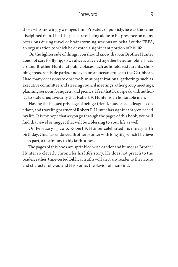#### Foreword 9

those who knowingly wronged him. Privately or publicly, he was the same disciplined man. I had the pleasure of being alone in his presence on many occasions during travel or brainstorming sessions on behalf of the FBFA, an organization to which he devoted a significant portion of his life.

On the lighter side of things, you should know that our Brother Hunter does not care for flying, so we always traveled together by automobile. I was around Brother Hunter at public places such as hotels, restaurants, shopping areas, roadside parks, and even on an ocean cruise to the Caribbean. I had many occasions to observe him at organizational gatherings such as executive committee and steering council meetings, other group meetings, planning sessions, banquets, and picnics. I feel that I can speak with authority to state unequivocally that Robert F. Hunter is an honorable man.

Having the blessed privilege of being a friend, associate, colleague, confidant, and traveling partner of Robert F. Hunter has significantly enriched my life. It is my hope that as you go through the pages of this book, you will find that jewel or nugget that will be a blessing to your life as well.

On February 13, 2010, Robert F. Hunter celebrated his ninety-fifth birthday. God has endowed Brother Hunter with long life, which I believe is, in part, a testimony to his faithfulness.

The pages of this book are sprinkled with candor and humor as Brother Hunter so cleverly chronicles his life's story. He does not preach to the reader; rather, time-tested Biblical truths will alert any reader to the nature and character of God and His Son as the Savior of mankind.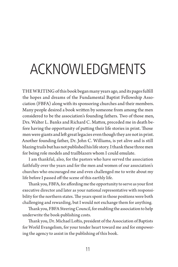## Acknowledgments

THEWRITING of this book began many years ago, and its pages fulfill the hopes and dreams of the Fundamental Baptist Fellowship Association (FBFA) along with its sponsoring churches and their members. Many people desired a book written by someone from among the men considered to be the association's founding fathers. Two of those men, Drs. Walter L. Banks and Richard C. Mattox, preceded me in death before having the opportunity of putting their life stories in print. Those men were giants and left great legacies even though they are not in print. Another founding father, Dr. John C. Williams, is yet alive and is still blazing trails but has not published his life story. I thank these three men for being role models and trailblazers whom I could emulate.

I am thankful, also, for the pastors who have served the association faithfully over the years and for the men and women of our association's churches who encouraged me and even challenged me to write about my life before I passed off the scene of this earthly life.

Thank you, FBFA, for affording me the opportunity to serve as your first executive director and later as your national representative with responsibility for the northern states. The years spent in those positions were both challenging and rewarding, but I would not exchange them for anything.

Thank you, FBFA Steering Council, for enabling the association to help underwrite the book-publishing costs.

Thank you, Dr. Michael Loftis, president of the Association of Baptists for World Evangelism, for your tender heart toward me and for empowering the agency to assist in the publishing of this book.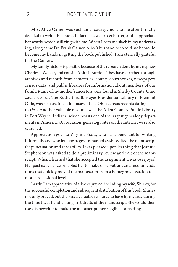Mrs. Alice Gainer was such an encouragement to me after I finally decided to write this book. In fact, she was an exhorter, and I appreciate her words, which still ring with me. When I became slack in my undertaking, along came Dr. Frank Gainer, Alice's husband, who told me he would become my hands in getting the book published. I am eternally grateful for the Gainers.

My family history is possible because of the research done by my nephew, Charles J. Weiker, and cousin, Anita I. Burdon. They have searched through archives and records from cemeteries, county courthouses, newspapers, census data, and public libraries for information about members of our family. Many of my mother's ancestors were found in Shelby County, Ohio court records. The Rutherford B. Hayes Presidential Library in Fremont, Ohio, was also useful, as it houses all the Ohio census records dating back to 1820. Another valuable resource was the Allen County Public Library in Fort Wayne, Indiana, which boasts one of the largest genealogy departments in America. On occasion, genealogy sites on the Internet were also searched.

Appreciation goes to Virginia Scott, who has a penchant for writing informally and who left few pages unmarked as she edited the manuscript for punctuation and readability. I was pleased upon learning that Jeannie Stephenson was asked to do a preliminary review and edit of the manuscript. When I learned that she accepted the assignment, I was overjoyed. Her past experiences enabled her to make observations and recommendations that quickly moved the manuscript from a homegrown version to a more professional level.

Lastly, I am appreciative of all who prayed, including my wife, Shirley, for the successful completion and subsequent distribution of this book. Shirley not only prayed, but she was a valuable resource to have by my side during the time I was handwriting first drafts of the manuscript. She would then use a typewriter to make the manuscript more legible for reading.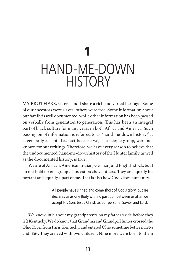### 1 Hand-me-down **HISTORY**

MY BROTHERS, sisters, and I share a rich and varied heritage. Some of our ancestors were slaves; others were free. Some information about our family is well documented, while other information has been passed on verbally from generation to generation. This has been an integral part of black culture for many years in both Africa and America. Such passing on of information is referred to as "hand-me-down history." It is generally accepted as fact because we, as a people group, were not known for our writings. Therefore, we have every reason to believe that the undocumented, hand-me-down history of the Hunter family, as well as the documented history, is true.

We are of African, American Indian, German, and English stock, but I do not hold up one group of ancestors above others. They are equally important and equally a part of me. That is also how God views humanity.

> All people have sinned and come short of God's glory, but He declares us as one Body with no partition between us after we accept His Son, Jesus Christ, as our personal Savior and Lord.

We know little about my grandparents on my father's side before they left Kentucky. We do know that Grandma and Grandpa Hunter crossed the Ohio River from Paris, Kentucky, and entered Ohio sometime between 1864 and 1867. They arrived with two children. Nine more were born to them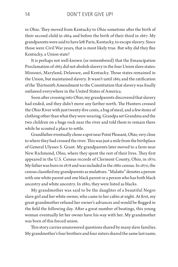in Ohio. They moved from Kentucky to Ohio sometime after the birth of their second child in 1864 and before the birth of their third in 1867. My grandparents were said to have left Paris, Kentucky, to escape slavery. Since those were Civil War years, that is most likely true. But why did they flee Kentucky, a Union state?

It is perhaps not well-known (or remembered) that the Emancipation Proclamation of 1863 did not abolish slavery in the four Union slave states: Missouri, Maryland, Delaware, and Kentucky. Those states remained in the Union, but maintained slavery. It wasn't until 1865 and the ratification of the Thirteenth Amendment to the Constitution that slavery was finally outlawed everywhere in the United States of America.

Soon after crossing into Ohio, my grandparents discovered that slavery had ended, and they didn't move any farther north. The Hunters crossed the Ohio River with just twenty-five cents, a bag of meal, and a few items of clothing other than what they were wearing. Grandpa set Grandma and the two children on a huge rock near the river and told them to remain there while he scouted a place to settle.

Grandfather eventually chose a spot near Point Pleasant, Ohio, very close to where they had crossed the river. This was just a mile from the birthplace of General Ulysses S. Grant. My grandparents later moved to a farm near New Richmond, Ohio, where they spent the rest of their lives. They first appeared in the U.S. Census records of Clermont County, Ohio, in 1870. My father was born in 1878 and was included in the 1880 census. In 1870, the census classified my grandparents as mulattoes. "Mulatto" denotes a person with one white parent and one black parent or a person who has both black ancestry and white ancestry. In 1880, they were listed as blacks.

My grandmother was said to be the daughter of a beautiful Negro slave girl and her white owner, who came to her cabin at night. At first, my great-grandmother refused her owner's advances and would be flogged in the field the following day. After a great number of beatings, this young woman eventually let her owner have his way with her. My grandmother was born of this forced union.

This story carries unanswered questions shared by many slave families. My grandmother's four brothers and four sisters shared the same last name.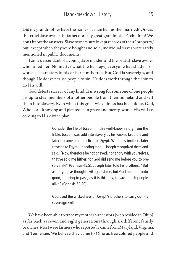Did my grandmother have the name of a man her mother married? Or was this cruel slave owner the father of all my great-grandmother's children? We don't know the answers. Slave owners surely kept records of their "property," but, except when they were bought and sold, individual slaves were rarely mentioned in public documents.

I am a descendant of a young slave maiden and the brutish slave owner who raped her. No matter what the heritage, everyone has shady—or worse—characters in his or her family tree. But God is sovereign, and though He doesn't cause people to sin, He does work through their sin to do His will.

God detests slavery of any kind. It is wrong for someone of one people group to steal members of another people from their homeland and sell them into slavery. Even when this great wickedness has been done, God, Who is all-knowing and plenteous in grace and mercy, works His will according to His divine plan.

> Consider the life of Joseph. In this well-known story from the Bible, Joseph was sold into slavery by his wicked brothers and later became a high official in Egypt. When his brothers later traveled to Egypt—needing food—Joseph recognized them and said, "Now therefore be not grieved, nor angry with yourselves, that ye sold me hither: for God did send me before you to preserve life" (Genesis 45:5). Joseph later told his brothers, "But as for you, ye thought evil against me; but God meant it unto good, to bring to pass, as it is this day, to save much people alive" (Genesis 50:20).

> God used the wickedness of Joseph's brothers to carry out His sovereign will.

We have been able to trace my mother's ancestors (who resided in Ohio) as far back as seven and eight generations through six different family branches. Most were farmers who reportedly came from Maryland, Virginia, and Tennessee. We believe they came to Ohio as free colored people and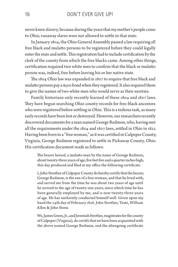never knew slavery, because during the years that my mother's people came to Ohio, runaway slaves were not allowed to settle in that state.

In January 1804, the Ohio General Assembly passed a law requiring all free black and mulatto persons to be registered before they could legally enter the state and settle. This registration had to include certification by the clerk of the county from which the free blacks came. Among other things, certification required two white men to confirm that the black or mulatto person was, indeed, free before leaving his or her native state.

The 1804 Ohio law was expanded in 1807 to require that free black and mulatto persons pay a \$500 bond when they registered. It also required them to give the names of two white men who would serve as their sureties.

Family historians only recently learned of these 1804 and 1807 laws. They have begun searching Ohio county records for free-black ancestors who were registered before settling in Ohio. This is a tedious task, as many early records have been lost or destroyed. However, our researchers recently discovered documents for a man named George Redmon, who, having met all the requirements under the 1804 and 1807 laws, settled in Ohio in 1822. Having been born to a "free woman," as it was certified in Culpeper County, Virginia, George Redmon registered to settle in Pickaway County, Ohio. His certification document reads as follows:

The bearer hereof, a mulatto man by the name of George Redmon, about twenty-three years of age, five feet five and a quarter inches high, this day produced and filed in my office the following certificate.

I, John Strother of Culpeper County do hereby certify that the bearer, George Redmon, is the son of a free woman, and that he lived with, and served me from the time he was about two years of age until he arrived to the age of twenty-one years, since which time he has been generally employed by me, and is now twenty-three years of age. He has uniformly conducted himself well. Given upon my hand the 24th day of February 1808. John Strother, Teste, William Allen & John Stone.

We, James Green, Jr., and Jeremiah Strother, magistrates for the county of Culpeper (Virginia), do certify that we have been acquainted with the above named George Redmon, and the aforegoing certificate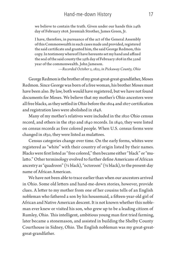we believe to contain the truth. Given under our hands this 24th day of February 1808. Jeremiah Strother, James Green, Jr.

I have, therefore, in pursuance of the act of the General Assembly of this Commonwealth in such cases made and provided, registered the said certificate and granted him, the said George Redmon, this copy. In testimony whereof I have hereunto set my hand and affixed the seal of the said county the 25th day of February 1808 in the 32nd year of the commonwealth. John Jameson.

*—Recorded October 2, 1822, in Pickaway County, Ohio*

George Redmon is the brother of my great-great-great-grandfather, Moses Redmon. Since George was born of a free woman, his brother Moses must have been also. By law, both would have registered, but we have not found documents for Moses. We believe that my mother's Ohio ancestors were all free blacks, as they settled in Ohio before the 1804 and 1807 certification and registration laws were abolished in 1848.

Many of my mother's relatives were included in the 1820 Ohio census record, and others in the 1830 and 1840 records. In 1840, they were listed on census records as free colored people. When U.S. census forms were changed in 1850, they were listed as mulattoes.

Census categories change over time. On the early forms, whites were registered as "white" with their country of origin listed by their names. Blacks were first listed as "free colored," then became either "black" or "mulatto." Other terminology evolved to further define Americans of African ancestry as "quadroon" (¼ black), "octoroon" (⅛ black), to the present-day name of African American.

We have not been able to trace earlier than when our ancestors arrived in Ohio. Some old letters and hand-me-down stories, however, provide clues. A letter to my mother from one of her cousins tells of an English nobleman who fathered a son by his housemaid, a fifteen-year-old girl of African and Native American descent. It is not known whether this nobleman ever knew or visited his son, who grew up to be a leading citizen of Rumley, Ohio. This intelligent, ambitious young man first tried farming, later became a stonemason, and assisted in building the Shelby County Courthouse in Sidney, Ohio. The English nobleman was my great-greatgreat-grandfather.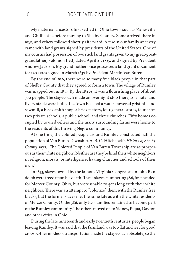My maternal ancestors first settled in Ohio towns such as Zanesville and Chillicothe before moving to Shelby County. Some arrived there in 1830, and others followed shortly afterward. A few in our family ancestry came with land grants signed by presidents of the United States. One of my cousins had possession of two such land grants given to my great-greatgrandfather, Solomon Lett, dated April 21, 1835, and signed by President Andrew Jackson. My grandmother once possessed a land grant document for 120 acres signed in March 1837 by President Martin Van Buren.

By the end of 1836, there were so many free black people in that part of Shelby County that they agreed to form a town. The village of Rumley was mapped out in 1837. By the 1840s, it was a flourishing place of about 500 people. The stagecoach made an overnight stop there, so a hotel and livery stable were built. The town boasted a water-powered gristmill and sawmill, a blacksmith shop, a brick factory, four general stores, four cafés, two private schools, a public school, and three churches. Fifty homes occupied by town dwellers and the many surrounding farms were home to the residents of this thriving Negro community.

At one time, the colored people around Rumley constituted half the population of Van Buren Township. A. B. C. Hitchcock's *History of Shelby County* says, "The Colored People of Van Buren Township are as prosperous as their white neighbors. Neither are they behind their white neighbors in religion, morals, or intelligence, having churches and schools of their own."

In 1833, slaves owned by the famous Virginia Congressman John Randolph were freed upon his death. These slaves, numbering 386, first headed for Mercer County, Ohio, but were unable to get along with their white neighbors. There was an attempt to "colonize" them with the Rumley free blacks, but the former slaves met the same fate as with the white residents of Mercer County. Of the 386, only two families remained to become part of the Rumley community. The others moved on to Sidney, Piqua, Dayton, and other cities in Ohio.

During the late nineteenth and early twentieth centuries, people began leaving Rumley. It was said that the farmland was too flat and wet for good crops. Other modes of transportation made the stagecoach obsolete, so the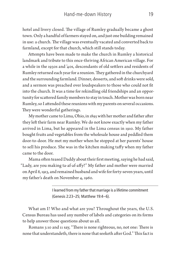hotel and livery closed. The village of Rumley gradually became a ghost town. Only a handful of farmers stayed on, and just one building remained in use: a church. The village was eventually vacated and converted back to farmland, except for that church, which still stands today.

Attempts have been made to make the church in Rumley a historical landmark and tribute to this once-thriving African American village. For a while in the 1930s and '40s, descendants of old settlers and residents of Rumley returned each year for a reunion. They gathered in the churchyard and the surrounding farmland. Dinner, desserts, and soft drinks were sold, and a sermon was preached over loudspeakers to those who could not fit into the church. It was a time for rekindling old friendships and an opportunity for scattered family members to stay in touch. Mother was born near Rumley, so I attended these reunions with my parents on several occasions. They were wonderful gatherings.

My mother came to Lima, Ohio, in 1895 with her mother and father after they left their farm near Rumley. We do not know exactly when my father arrived in Lima, but he appeared in the Lima census in 1910. My father bought fruits and vegetables from the wholesale house and peddled them door-to-door. He met my mother when he stopped at her parents' house to sell his produce. She was in the kitchen making taffy when my father came to the door.

Mama often teased Daddy about their first meeting, saying he had said, "Lady, are you making ta-af-af-affy?" My father and mother were married on April 8, 1913, and remained husband and wife for forty-seven years, until my father's death on November 4, 1960.

> I learned from my father that marriage is a lifetime commitment (Genesis 2:23–25; Matthew 19:4–6).

What am I? Who and what are you? Throughout the years, the U.S. Census Bureau has used any number of labels and categories on its forms to help answer those questions about us all.

Romans 3:10 and 11 say, "There is none righteous, no, not one: There is none that understandeth, there is none that seeketh after God."This fact is